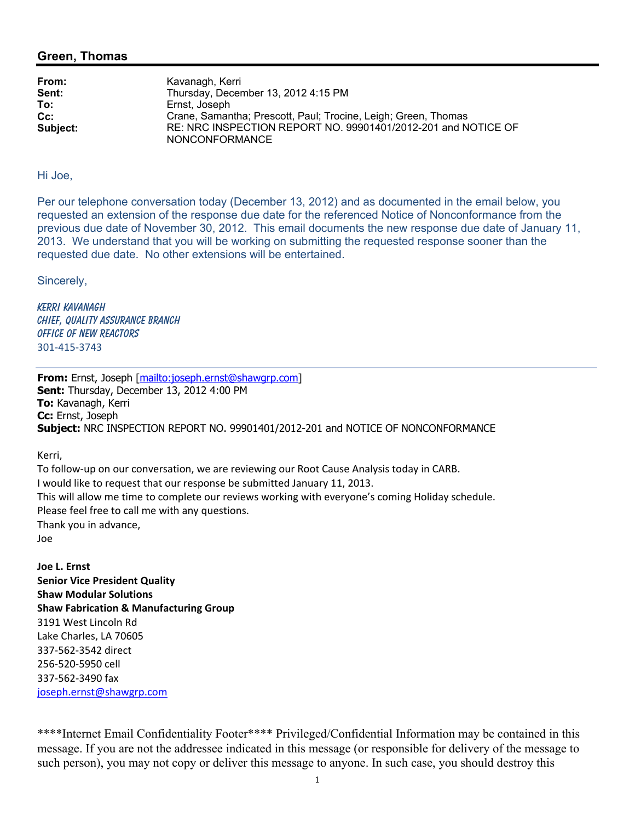## **Green, Thomas**

| From:    | Kavanagh, Kerri                                                                        |
|----------|----------------------------------------------------------------------------------------|
| Sent:    | Thursday, December 13, 2012 4:15 PM                                                    |
| To:      | Ernst, Joseph                                                                          |
| $Cc$ :   | Crane, Samantha; Prescott, Paul; Trocine, Leigh; Green, Thomas                         |
| Subject: | RE: NRC INSPECTION REPORT NO. 99901401/2012-201 and NOTICE OF<br><b>NONCONFORMANCE</b> |

## Hi Joe,

Per our telephone conversation today (December 13, 2012) and as documented in the email below, you requested an extension of the response due date for the referenced Notice of Nonconformance from the previous due date of November 30, 2012. This email documents the new response due date of January 11, 2013. We understand that you will be working on submitting the requested response sooner than the requested due date. No other extensions will be entertained.

Sincerely,

Kerri Kavanagh CHIEF, QUALITY ASSURANCE BRANCH Office of New Reactors 301-415-3743

**From:** Ernst, Joseph [mailto:joseph.ernst@shawgrp.com] **Sent:** Thursday, December 13, 2012 4:00 PM **To:** Kavanagh, Kerri **Cc:** Ernst, Joseph **Subject:** NRC INSPECTION REPORT NO. 99901401/2012-201 and NOTICE OF NONCONFORMANCE

Kerri,

To follow-up on our conversation, we are reviewing our Root Cause Analysis today in CARB. I would like to request that our response be submitted January 11, 2013. This will allow me time to complete our reviews working with everyone's coming Holiday schedule. Please feel free to call me with any questions. Thank you in advance, Joe

**Joe L. Ernst Senior Vice President Quality Shaw Modular Solutions Shaw Fabrication & Manufacturing Group**  3191 West Lincoln Rd Lake Charles, LA 70605 337-562-3542 direct 256-520-5950 cell 337-562-3490 fax joseph.ernst@shawgrp.com

\*\*\*\*Internet Email Confidentiality Footer\*\*\*\* Privileged/Confidential Information may be contained in this message. If you are not the addressee indicated in this message (or responsible for delivery of the message to such person), you may not copy or deliver this message to anyone. In such case, you should destroy this